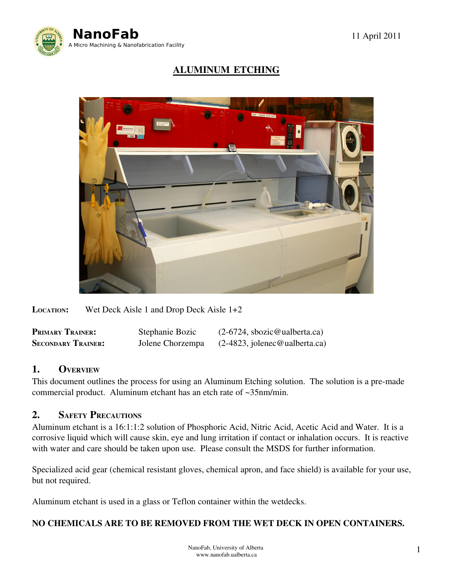

# ALUMINUM ETCHING



LOCATION: Wet Deck Aisle 1 and Drop Deck Aisle 1+2

| <b>PRIMARY TRAINER:</b>   | Stephanie Bozic  | $(2-6724,$ sbozic@ualberta.ca)  |
|---------------------------|------------------|---------------------------------|
| <b>SECONDARY TRAINER:</b> | Jolene Chorzempa | $(2-4823,$ jolenec@ualberta.ca) |

#### 1. OVERVIEW

This document outlines the process for using an Aluminum Etching solution. The solution is a pre-made commercial product. Aluminum etchant has an etch rate of ~35nm/min.

### 2. SAFETY PRECAUTIONS

Aluminum etchant is a 16:1:1:2 solution of Phosphoric Acid, Nitric Acid, Acetic Acid and Water. It is a corrosive liquid which will cause skin, eye and lung irritation if contact or inhalation occurs. It is reactive with water and care should be taken upon use. Please consult the MSDS for further information.

Specialized acid gear (chemical resistant gloves, chemical apron, and face shield) is available for your use, but not required.

Aluminum etchant is used in a glass or Teflon container within the wetdecks.

#### NO CHEMICALS ARE TO BE REMOVED FROM THE WET DECK IN OPEN CONTAINERS.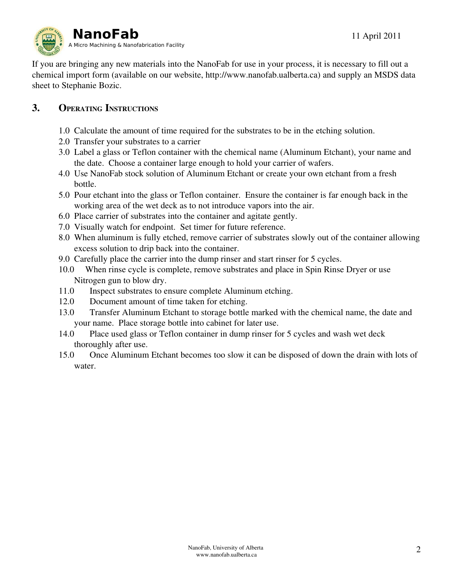

If you are bringing any new materials into the NanoFab for use in your process, it is necessary to fill out a chemical import form (available on our website, http://www.nanofab.ualberta.ca) and supply an MSDS data sheet to Stephanie Bozic.

## 3. OPERATING INSTRUCTIONS

- 1.0 Calculate the amount of time required for the substrates to be in the etching solution.
- 2.0 Transfer your substrates to a carrier
- 3.0 Label a glass or Teflon container with the chemical name (Aluminum Etchant), your name and the date. Choose a container large enough to hold your carrier of wafers.
- 4.0 Use NanoFab stock solution of Aluminum Etchant or create your own etchant from a fresh bottle.
- 5.0 Pour etchant into the glass or Teflon container. Ensure the container is far enough back in the working area of the wet deck as to not introduce vapors into the air.
- 6.0 Place carrier of substrates into the container and agitate gently.
- 7.0 Visually watch for endpoint. Set timer for future reference.
- 8.0 When aluminum is fully etched, remove carrier of substrates slowly out of the container allowing excess solution to drip back into the container.
- 9.0 Carefully place the carrier into the dump rinser and start rinser for 5 cycles.
- 10.0 When rinse cycle is complete, remove substrates and place in Spin Rinse Dryer or use Nitrogen gun to blow dry.
- 11.0 Inspect substrates to ensure complete Aluminum etching.
- 12.0 Document amount of time taken for etching.
- 13.0 Transfer Aluminum Etchant to storage bottle marked with the chemical name, the date and your name. Place storage bottle into cabinet for later use.
- 14.0 Place used glass or Teflon container in dump rinser for 5 cycles and wash wet deck thoroughly after use.
- 15.0 Once Aluminum Etchant becomes too slow it can be disposed of down the drain with lots of water.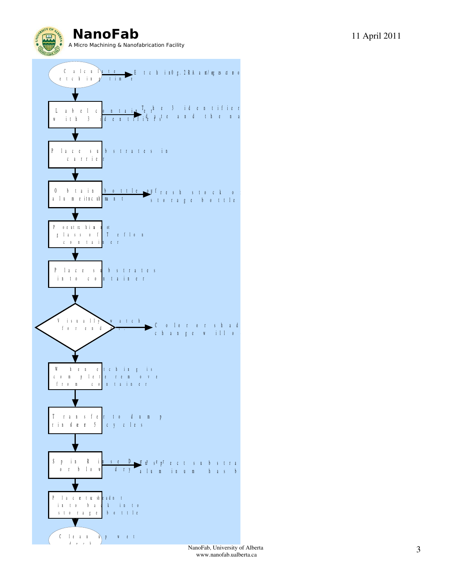**NanoFab** 11 April 2011 A Micro Machining & Nanofabrication Facility



www.nanofab.ualberta.ca